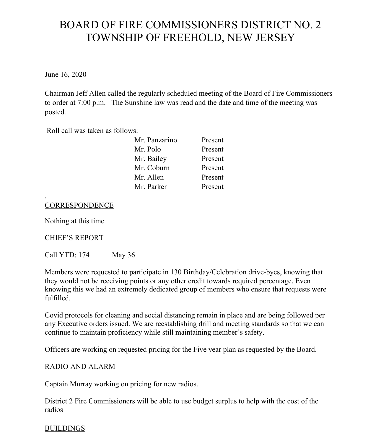# BOARD OF FIRE COMMISSIONERS DISTRICT NO. 2 TOWNSHIP OF FREEHOLD, NEW JERSEY

June 16, 2020

Chairman Jeff Allen called the regularly scheduled meeting of the Board of Fire Commissioners to order at 7:00 p.m. The Sunshine law was read and the date and time of the meeting was posted.

Roll call was taken as follows:

| Mr. Panzarino | Present |
|---------------|---------|
| Mr. Polo      | Present |
| Mr. Bailey    | Present |
| Mr. Coburn    | Present |
| Mr. Allen     | Present |
| Mr. Parker    | Present |

### **CORRESPONDENCE**

Nothing at this time

.

#### CHIEF'S REPORT

Call YTD: 174 May 36

Members were requested to participate in 130 Birthday/Celebration drive-byes, knowing that they would not be receiving points or any other credit towards required percentage. Even knowing this we had an extremely dedicated group of members who ensure that requests were fulfilled.

Covid protocols for cleaning and social distancing remain in place and are being followed per any Executive orders issued. We are reestablishing drill and meeting standards so that we can continue to maintain proficiency while still maintaining member's safety.

Officers are working on requested pricing for the Five year plan as requested by the Board.

#### RADIO AND ALARM

Captain Murray working on pricing for new radios.

District 2 Fire Commissioners will be able to use budget surplus to help with the cost of the radios

#### BUILDINGS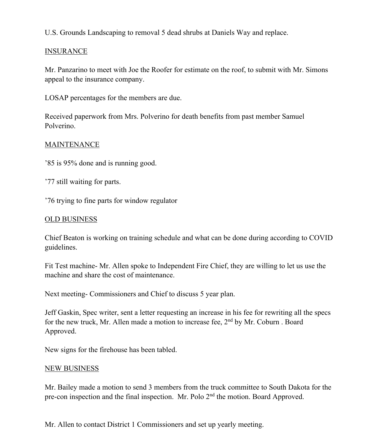U.S. Grounds Landscaping to removal 5 dead shrubs at Daniels Way and replace.

### INSURANCE

Mr. Panzarino to meet with Joe the Roofer for estimate on the roof, to submit with Mr. Simons appeal to the insurance company.

LOSAP percentages for the members are due.

Received paperwork from Mrs. Polverino for death benefits from past member Samuel Polverino.

### MAINTENANCE

'85 is 95% done and is running good.

'77 still waiting for parts.

'76 trying to fine parts for window regulator

### OLD BUSINESS

Chief Beaton is working on training schedule and what can be done during according to COVID guidelines.

Fit Test machine- Mr. Allen spoke to Independent Fire Chief, they are willing to let us use the machine and share the cost of maintenance.

Next meeting- Commissioners and Chief to discuss 5 year plan.

Jeff Gaskin, Spec writer, sent a letter requesting an increase in his fee for rewriting all the specs for the new truck, Mr. Allen made a motion to increase fee, 2nd by Mr. Coburn . Board Approved.

New signs for the firehouse has been tabled.

#### NEW BUSINESS

Mr. Bailey made a motion to send 3 members from the truck committee to South Dakota for the pre-con inspection and the final inspection. Mr. Polo 2<sup>nd</sup> the motion. Board Approved.

Mr. Allen to contact District 1 Commissioners and set up yearly meeting.